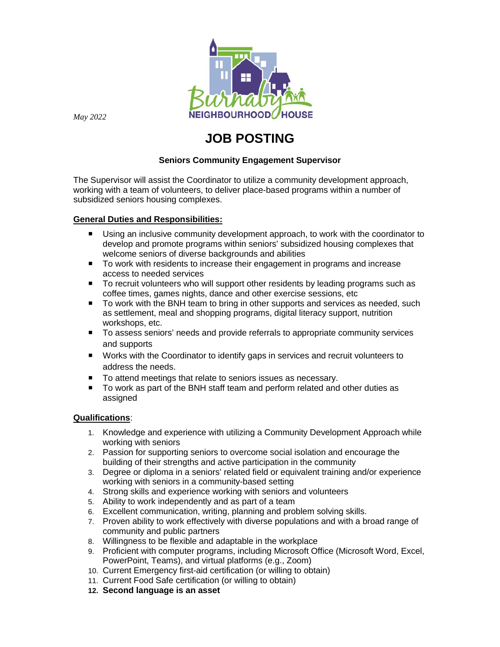

*May 2022*

# **JOB POSTING**

# **Seniors Community Engagement Supervisor**

The Supervisor will assist the Coordinator to utilize a community development approach, working with a team of volunteers, to deliver place-based programs within a number of subsidized seniors housing complexes.

# **General Duties and Responsibilities:**

- Using an inclusive community development approach, to work with the coordinator to develop and promote programs within seniors' subsidized housing complexes that welcome seniors of diverse backgrounds and abilities
- To work with residents to increase their engagement in programs and increase access to needed services
- To recruit volunteers who will support other residents by leading programs such as coffee times, games nights, dance and other exercise sessions, etc
- To work with the BNH team to bring in other supports and services as needed, such as settlement, meal and shopping programs, digital literacy support, nutrition workshops, etc.
- To assess seniors' needs and provide referrals to appropriate community services and supports
- Works with the Coordinator to identify gaps in services and recruit volunteers to address the needs.
- To attend meetings that relate to seniors issues as necessary.
- To work as part of the BNH staff team and perform related and other duties as assigned

## **Qualifications**:

- 1. Knowledge and experience with utilizing a Community Development Approach while working with seniors
- 2. Passion for supporting seniors to overcome social isolation and encourage the building of their strengths and active participation in the community
- 3. Degree or diploma in a seniors' related field or equivalent training and/or experience working with seniors in a community-based setting
- 4. Strong skills and experience working with seniors and volunteers
- 5. Ability to work independently and as part of a team
- 6. Excellent communication, writing, planning and problem solving skills.
- 7. Proven ability to work effectively with diverse populations and with a broad range of community and public partners
- 8. Willingness to be flexible and adaptable in the workplace
- 9. Proficient with computer programs, including Microsoft Office (Microsoft Word, Excel, PowerPoint, Teams), and virtual platforms (e.g., Zoom)
- 10. Current Emergency first-aid certification (or willing to obtain)
- 11. Current Food Safe certification (or willing to obtain)
- **12. Second language is an asset**